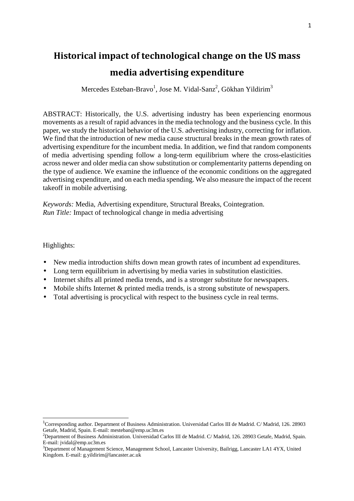# **Historical impact of technological change on the US mass media advertising expenditure**

Mercedes Esteban-Bravo<sup>1</sup>, Jose M. Vidal-Sanz<sup>2</sup>, Gökhan Yildirim<sup>3</sup>

ABSTRACT: Historically, the U.S. advertising industry has been experiencing enormous movements as a result of rapid advances in the media technology and the business cycle. In this paper, we study the historical behavior of the U.S. advertising industry, correcting for inflation. We find that the introduction of new media cause structural breaks in the mean growth rates of advertising expenditure for the incumbent media. In addition, we find that random components of media advertising spending follow a long-term equilibrium where the cross-elasticities across newer and older media can show substitution or complementarity patterns depending on the type of audience. We examine the influence of the economic conditions on the aggregated advertising expenditure, and on each media spending. We also measure the impact of the recent takeoff in mobile advertising.

*Keywords:* Media, Advertising expenditure, Structural Breaks, Cointegration. *Run Title:* Impact of technological change in media advertising

#### Highlights:

 $\overline{\phantom{0}}$ 

- New media introduction shifts down mean growth rates of incumbent ad expenditures.
- Long term equilibrium in advertising by media varies in substitution elasticities.
- Internet shifts all printed media trends, and is a stronger substitute for newspapers.
- Mobile shifts Internet & printed media trends, is a strong substitute of newspapers.
- Total advertising is procyclical with respect to the business cycle in real terms.

<sup>&</sup>lt;sup>1</sup>Corresponding author. Department of Business Administration. Universidad Carlos III de Madrid. C/ Madrid, 126. 28903 Getafe, Madrid, Spain. E-mail: mesteban@emp.uc3m.es

<sup>2</sup>Department of Business Administration. Universidad Carlos III de Madrid. C/ Madrid, 126. 28903 Getafe, Madrid, Spain. E-mail: jvidal@emp.uc3m.es

<sup>3</sup>Department of Management Science, Management School, Lancaster University, Bailrigg, Lancaster LA1 4YX, United Kingdom. E-mail: g.yildirim@lancaster.ac.uk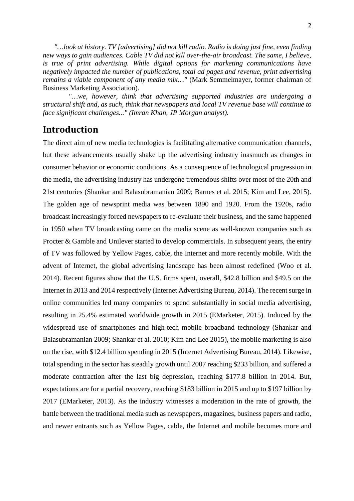*"…look at history. TV [advertising] did not kill radio. Radio is doing just fine, even finding new ways to gain audiences. Cable TV did not kill over-the-air broadcast. The same, I believe, is true of print advertising. While digital options for marketing communications have negatively impacted the number of publications, total ad pages and revenue, print advertising remains a viable component of any media mix…"* (Mark Semmelmayer, former chairman of Business Marketing Association).

 *"…we, however, think that advertising supported industries are undergoing a structural shift and, as such, think that newspapers and local TV revenue base will continue to face significant challenges..." (Imran Khan, JP Morgan analyst).* 

# **Introduction**

The direct aim of new media technologies is facilitating alternative communication channels, but these advancements usually shake up the advertising industry inasmuch as changes in consumer behavior or economic conditions. As a consequence of technological progression in the media, the advertising industry has undergone tremendous shifts over most of the 20th and 21st centuries (Shankar and Balasubramanian 2009; Barnes et al. 2015; Kim and Lee, 2015). The golden age of newsprint media was between 1890 and 1920. From the 1920s, radio broadcast increasingly forced newspapers to re-evaluate their business, and the same happened in 1950 when TV broadcasting came on the media scene as well-known companies such as Procter & Gamble and Unilever started to develop commercials. In subsequent years, the entry of TV was followed by Yellow Pages, cable, the Internet and more recently mobile. With the advent of Internet, the global advertising landscape has been almost redefined (Woo et al. 2014). Recent figures show that the U.S. firms spent, overall, \$42.8 billion and \$49.5 on the Internet in 2013 and 2014 respectively (Internet Advertising Bureau, 2014). The recent surge in online communities led many companies to spend substantially in social media advertising, resulting in 25.4% estimated worldwide growth in 2015 (EMarketer, 2015). Induced by the widespread use of smartphones and high-tech mobile broadband technology (Shankar and Balasubramanian 2009; Shankar et al. 2010; Kim and Lee 2015), the mobile marketing is also on the rise, with \$12.4 billion spending in 2015 (Internet Advertising Bureau, 2014). Likewise, total spending in the sector has steadily growth until 2007 reaching \$233 billion, and suffered a moderate contraction after the last big depression, reaching \$177.8 billion in 2014. But, expectations are for a partial recovery, reaching \$183 billion in 2015 and up to \$197 billion by 2017 (EMarketer, 2013). As the industry witnesses a moderation in the rate of growth, the battle between the traditional media such as newspapers, magazines, business papers and radio, and newer entrants such as Yellow Pages, cable, the Internet and mobile becomes more and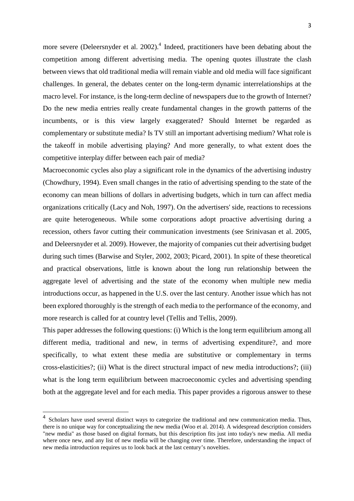more severe (Deleersnyder et al. 2002).<sup>4</sup> Indeed, practitioners have been debating about the competition among different advertising media. The opening quotes illustrate the clash between views that old traditional media will remain viable and old media will face significant challenges. In general, the debates center on the long-term dynamic interrelationships at the macro level. For instance, is the long-term decline of newspapers due to the growth of Internet? Do the new media entries really create fundamental changes in the growth patterns of the incumbents, or is this view largely exaggerated? Should Internet be regarded as complementary or substitute media? Is TV still an important advertising medium? What role is the takeoff in mobile advertising playing? And more generally, to what extent does the competitive interplay differ between each pair of media?

Macroeconomic cycles also play a significant role in the dynamics of the advertising industry (Chowdhury, 1994). Even small changes in the ratio of advertising spending to the state of the economy can mean billions of dollars in advertising budgets, which in turn can affect media organizations critically (Lacy and Noh, 1997). On the advertisers' side, reactions to recessions are quite heterogeneous. While some corporations adopt proactive advertising during a recession, others favor cutting their communication investments (see Srinivasan et al. 2005, and Deleersnyder et al. 2009). However, the majority of companies cut their advertising budget during such times (Barwise and Styler, 2002, 2003; Picard, 2001). In spite of these theoretical and practical observations, little is known about the long run relationship between the aggregate level of advertising and the state of the economy when multiple new media introductions occur, as happened in the U.S. over the last century. Another issue which has not been explored thoroughly is the strength of each media to the performance of the economy, and more research is called for at country level (Tellis and Tellis, 2009).

This paper addresses the following questions: (i) Which is the long term equilibrium among all different media, traditional and new, in terms of advertising expenditure?, and more specifically, to what extent these media are substitutive or complementary in terms cross-elasticities?; (ii) What is the direct structural impact of new media introductions?; (iii) what is the long term equilibrium between macroeconomic cycles and advertising spending both at the aggregate level and for each media. This paper provides a rigorous answer to these

l

<sup>4</sup> Scholars have used several distinct ways to categorize the traditional and new communication media. Thus, there is no unique way for conceptualizing the new media (Woo et al. 2014). A widespread description considers "new media" as those based on digital formats, but this description fits just into today's new media. All media where once new, and any list of new media will be changing over time. Therefore, understanding the impact of new media introduction requires us to look back at the last century's novelties.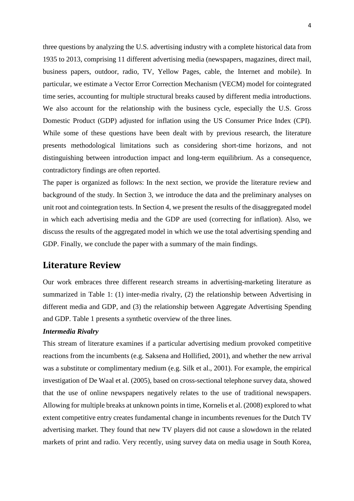three questions by analyzing the U.S. advertising industry with a complete historical data from 1935 to 2013, comprising 11 different advertising media (newspapers, magazines, direct mail, business papers, outdoor, radio, TV, Yellow Pages, cable, the Internet and mobile). In particular, we estimate a Vector Error Correction Mechanism (VECM) model for cointegrated time series, accounting for multiple structural breaks caused by different media introductions. We also account for the relationship with the business cycle, especially the U.S. Gross Domestic Product (GDP) adjusted for inflation using the US Consumer Price Index (CPI). While some of these questions have been dealt with by previous research, the literature presents methodological limitations such as considering short-time horizons, and not distinguishing between introduction impact and long-term equilibrium. As a consequence, contradictory findings are often reported.

The paper is organized as follows: In the next section, we provide the literature review and background of the study. In Section 3, we introduce the data and the preliminary analyses on unit root and cointegration tests. In Section 4, we present the results of the disaggregated model in which each advertising media and the GDP are used (correcting for inflation). Also, we discuss the results of the aggregated model in which we use the total advertising spending and GDP. Finally, we conclude the paper with a summary of the main findings.

# **Literature Review**

Our work embraces three different research streams in advertising-marketing literature as summarized in Table 1: (1) inter-media rivalry, (2) the relationship between Advertising in different media and GDP, and (3) the relationship between Aggregate Advertising Spending and GDP. Table 1 presents a synthetic overview of the three lines.

#### *Intermedia Rivalry*

This stream of literature examines if a particular advertising medium provoked competitive reactions from the incumbents (e.g. Saksena and Hollified, 2001), and whether the new arrival was a substitute or complimentary medium (e.g. Silk et al., 2001). For example, the empirical investigation of De Waal et al. (2005), based on cross-sectional telephone survey data, showed that the use of online newspapers negatively relates to the use of traditional newspapers. Allowing for multiple breaks at unknown points in time, Kornelis et al. (2008) explored to what extent competitive entry creates fundamental change in incumbents revenues for the Dutch TV advertising market. They found that new TV players did not cause a slowdown in the related markets of print and radio. Very recently, using survey data on media usage in South Korea,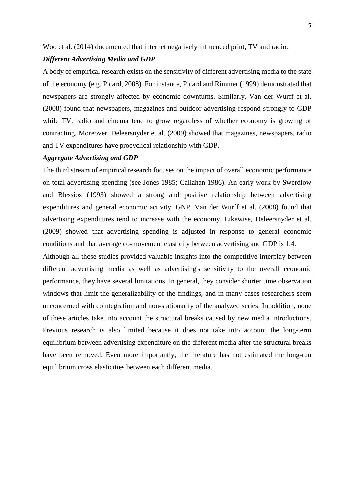Woo et al. (2014) documented that internet negatively influenced print, TV and radio.

#### *Different Advertising Media and GDP*

A body of empirical research exists on the sensitivity of different advertising media to the state of the economy (e.g. Picard, 2008). For instance, Picard and Rimmer (1999) demonstrated that newspapers are strongly affected by economic downturns. Similarly, Van der Wurff et al. (2008) found that newspapers, magazines and outdoor advertising respond strongly to GDP while TV, radio and cinema tend to grow regardless of whether economy is growing or contracting. Moreover, Deleersnyder et al. (2009) showed that magazines, newspapers, radio and TV expenditures have procyclical relationship with GDP.

#### *Aggregate Advertising and GDP*

The third stream of empirical research focuses on the impact of overall economic performance on total advertising spending (see Jones 1985; Callahan 1986). An early work by Swerdlow and Blessios (1993) showed a strong and positive relationship between advertising expenditures and general economic activity, GNP. Van der Wurff et al. (2008) found that advertising expenditures tend to increase with the economy. Likewise, Deleersnyder et al. (2009) showed that advertising spending is adjusted in response to general economic conditions and that average co-movement elasticity between advertising and GDP is 1.4.

Although all these studies provided valuable insights into the competitive interplay between different advertising media as well as advertising's sensitivity to the overall economic performance, they have several limitations. In general, they consider shorter time observation windows that limit the generalizability of the findings, and in many cases researchers seem unconcerned with cointegration and non-stationarity of the analyzed series. In addition, none of these articles take into account the structural breaks caused by new media introductions. Previous research is also limited because it does not take into account the long-term equilibrium between advertising expenditure on the different media after the structural breaks have been removed. Even more importantly, the literature has not estimated the long-run equilibrium cross elasticities between each different media.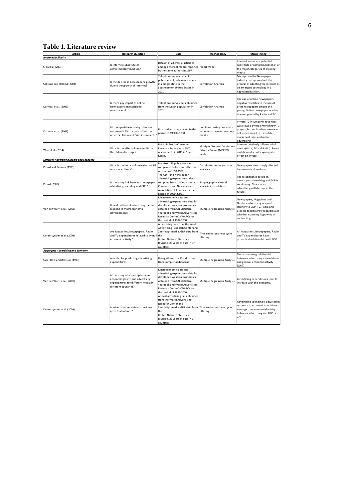## **Table 1. Literature review**

| Article                                                                                                                            | <b>Research Question</b><br>Data                                                                                                                                               |                                                                                                                                                                                                                                                                                           |                                                                   | <b>Main Finding</b>                                                                                                                                                                     |  |
|------------------------------------------------------------------------------------------------------------------------------------|--------------------------------------------------------------------------------------------------------------------------------------------------------------------------------|-------------------------------------------------------------------------------------------------------------------------------------------------------------------------------------------------------------------------------------------------------------------------------------------|-------------------------------------------------------------------|-----------------------------------------------------------------------------------------------------------------------------------------------------------------------------------------|--|
| <b>Intermedia Rivalry</b>                                                                                                          |                                                                                                                                                                                |                                                                                                                                                                                                                                                                                           |                                                                   |                                                                                                                                                                                         |  |
| Silk et al. (2001)                                                                                                                 | Is Internet substitute or<br>complimentary medium?                                                                                                                             | Dataset of 28 cross elasticities<br>among different media, reported Probit Model<br>by the same authors in 1997.                                                                                                                                                                          |                                                                   | Internet looms as a potential<br>substitute or complement for all of<br>the major categories of existing<br>media.                                                                      |  |
| Saksena and Hollied (2002)                                                                                                         | Is the decline in newspapers' growth<br>due to the growth of Internet?                                                                                                         | Telephone survey data of<br>publishers of daily newspapers<br>in a single state in the<br>Southeastern United States in<br>2001                                                                                                                                                           | <b>Correlation Analysis</b>                                       | Managers in the Newspaper<br>industry had approached the<br>process of adopting the internet as<br>an emerging technology in a<br>haphazard fashion.                                    |  |
| De Waal et al. (2005)                                                                                                              | Is there any impact of online<br>newspapers on traditional<br>newspapers?                                                                                                      |                                                                                                                                                                                                                                                                                           | <b>Correlation Analysis</b>                                       | The use of online newspapers<br>negatively relates to the use of<br>print newspapers among the<br>young. Online newspaper reading<br>is accompanied by Radio and TV.                    |  |
| Kornelis et al. (2008)                                                                                                             | Did competitive entry by different<br>Dutch advertising market in the<br>commercial TV channels affect the<br>period of 1990 to 1998.<br>other TV, Radio and Print incumbents? |                                                                                                                                                                                                                                                                                           | Unit Root testing procedure<br>under unknown endogenous<br>breaks | Private TV incumbents revenues<br>was slowed by the entry of new TV<br>players, but such a slowdown was<br>not experienced in the related<br>markets of print and radio<br>advertising. |  |
| Woo et al. (2014)                                                                                                                  | What is the effect of new media on<br>the old media usage?                                                                                                                     | Data via Media Consumer<br>Research Survey with 6000<br>respondents in 2011 in South<br>Korea                                                                                                                                                                                             | Multiple Discrete-Continuous<br>Extreme Value (MDCEV)<br>model    | Internet neatively influenced old<br>media (Print, TV and Radio). Smart<br>mobile media had a synergistic<br>effect on TV use.                                                          |  |
| <b>Different Advertising Media and Economy</b>                                                                                     |                                                                                                                                                                                | Data from 15 publicly traded                                                                                                                                                                                                                                                              |                                                                   |                                                                                                                                                                                         |  |
| Picard and Rimmer (1999)                                                                                                           | What is the impact of recession on US<br>newspaper firms?                                                                                                                      |                                                                                                                                                                                                                                                                                           | Correlation and regression<br>analyses                            | Newspapers are strongly affected<br>by economic downturns.                                                                                                                              |  |
| Picard (2008)                                                                                                                      | Is there any link between newspaper<br>advertising spending and GDP?                                                                                                           | The GDP and Newspaper<br>advertising expenditures data<br>compiled from US Department of Simple graphical trend<br>Commerce and Newspaper<br>Association of America for the<br>period of 1950-2005.                                                                                       | analysis + correlations                                           | The relationship between<br>newspaper advertising and GDP is<br>weakening. Newspaper<br>advertising will decline in the<br>future.                                                      |  |
| Van der Wurff et al. (2008)                                                                                                        | How do different advertising media<br>respond to macroeconomic<br>development?                                                                                                 | Macroeconomic data and<br>advertising expenditure data for<br>developed western economies<br>obtained from UN Statistical<br>Yearbook and World Advertising<br>Research Center's (WARC) for<br>the period of 1987-2000.                                                                   | Multiple Regression Analysis                                      | Newspapers, Magazines and<br>Outdoor advertising respond<br>strongly to GDP. TV, Radio and<br>Cinema tend to grow regardless of<br>whether economy is growing or<br>contracting.        |  |
| Are Magazines, Newspapers, Radio<br>and TV expenditures related to overall the<br>Deleersynder et al. (2009)<br>economic activity? |                                                                                                                                                                                | Advertising data from the World<br>Advertising Research Center and<br>ZenithOptimedia. GDP data from<br>Time series-business cycle<br>filtering<br><b>United Nations' Statistics</b><br>Division. 25 years of data in 37<br>countries.                                                    |                                                                   | All Magazines, Newspapers, Radio<br>and TV expenditures have<br>procyclical relationship with GDP.                                                                                      |  |
| <b>Aggregate Advertising and Economy</b>                                                                                           |                                                                                                                                                                                |                                                                                                                                                                                                                                                                                           |                                                                   |                                                                                                                                                                                         |  |
| A model for predicting advertising<br>Swerdlow and Blessios (1993)<br>expenditures                                                 |                                                                                                                                                                                | Data gathered on 15 industries<br>from Compustat database.                                                                                                                                                                                                                                | Multiple Regression Analysis                                      | There is a strong relationship<br>between advertising expenditures<br>and general economic activity<br>(GNP)                                                                            |  |
| Van der Wurff et al. (2008)                                                                                                        | Is there any relationship between<br>economic growth and advertising<br>expenditures for different media in<br>different countries?                                            |                                                                                                                                                                                                                                                                                           | <b>Multiple Regression Analysis</b>                               | Advertising expenditures tend to<br>increase with the economy.                                                                                                                          |  |
| Is advertising sensitive to business<br>Deleersynder et al. (2009)<br>cycle fluctuations?                                          |                                                                                                                                                                                | the period of 1987-2000.<br>Annual advertising data obtained<br>from the World Advertising<br>Research Center and<br>ZenithOptimedia. GDP data from Time series-business cycle<br>filtering<br>the<br><b>United Nations' Statistics</b><br>Division. 25 years of data in 37<br>countries. |                                                                   | Advertising spending is adjusted in<br>response to economic conditions.<br>Average comovement elasticity<br>between advertising and GDP is<br>1.4.                                      |  |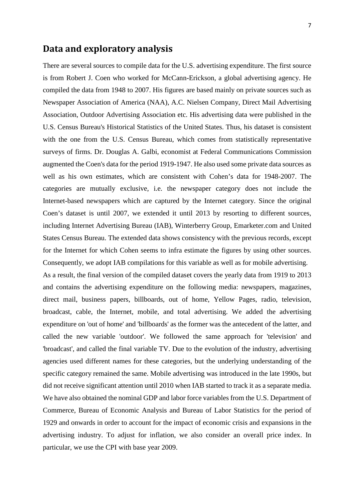# **Data and exploratory analysis**

There are several sources to compile data for the U.S. advertising expenditure. The first source is from Robert J. Coen who worked for McCann-Erickson, a global advertising agency. He compiled the data from 1948 to 2007. His figures are based mainly on private sources such as Newspaper Association of America (NAA), A.C. Nielsen Company, Direct Mail Advertising Association, Outdoor Advertising Association etc. His advertising data were published in the U.S. Census Bureau's Historical Statistics of the United States. Thus, his dataset is consistent with the one from the U.S. Census Bureau, which comes from statistically representative surveys of firms. Dr. Douglas A. Galbi, economist at Federal Communications Commission augmented the Coen's data for the period 1919-1947. He also used some private data sources as well as his own estimates, which are consistent with Cohen's data for 1948-2007. The categories are mutually exclusive, i.e. the newspaper category does not include the Internet-based newspapers which are captured by the Internet category. Since the original Coen's dataset is until 2007, we extended it until 2013 by resorting to different sources, including Internet Advertising Bureau (IAB), Winterberry Group, Emarketer.com and United States Census Bureau. The extended data shows consistency with the previous records, except for the Internet for which Cohen seems to infra estimate the figures by using other sources. Consequently, we adopt IAB compilations for this variable as well as for mobile advertising.

As a result, the final version of the compiled dataset covers the yearly data from 1919 to 2013 and contains the advertising expenditure on the following media: newspapers, magazines, direct mail, business papers, billboards, out of home, Yellow Pages, radio, television, broadcast, cable, the Internet, mobile, and total advertising. We added the advertising expenditure on 'out of home' and 'billboards' as the former was the antecedent of the latter, and called the new variable 'outdoor'. We followed the same approach for 'television' and 'broadcast', and called the final variable TV. Due to the evolution of the industry, advertising agencies used different names for these categories, but the underlying understanding of the specific category remained the same. Mobile advertising was introduced in the late 1990s, but did not receive significant attention until 2010 when IAB started to track it as a separate media. We have also obtained the nominal GDP and labor force variables from the U.S. Department of Commerce, Bureau of Economic Analysis and Bureau of Labor Statistics for the period of 1929 and onwards in order to account for the impact of economic crisis and expansions in the advertising industry. To adjust for inflation, we also consider an overall price index. In particular, we use the CPI with base year 2009.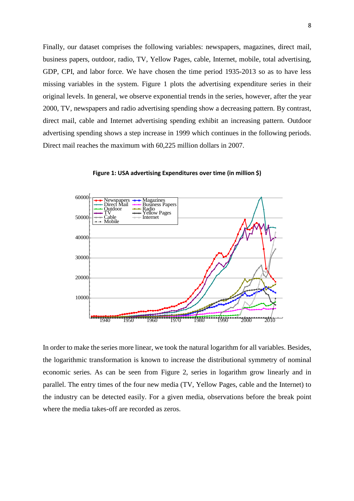Finally, our dataset comprises the following variables: newspapers, magazines, direct mail, business papers, outdoor, radio, TV, Yellow Pages, cable, Internet, mobile, total advertising, GDP, CPI, and labor force. We have chosen the time period 1935-2013 so as to have less missing variables in the system. Figure 1 plots the advertising expenditure series in their original levels. In general, we observe exponential trends in the series, however, after the year 2000, TV, newspapers and radio advertising spending show a decreasing pattern. By contrast, direct mail, cable and Internet advertising spending exhibit an increasing pattern. Outdoor advertising spending shows a step increase in 1999 which continues in the following periods. Direct mail reaches the maximum with 60,225 million dollars in 2007.



**Figure 1: USA advertising Expenditures over time (in million \$)** 

In order to make the series more linear, we took the natural logarithm for all variables. Besides, the logarithmic transformation is known to increase the distributional symmetry of nominal economic series. As can be seen from Figure 2, series in logarithm grow linearly and in parallel. The entry times of the four new media (TV, Yellow Pages, cable and the Internet) to the industry can be detected easily. For a given media, observations before the break point where the media takes-off are recorded as zeros.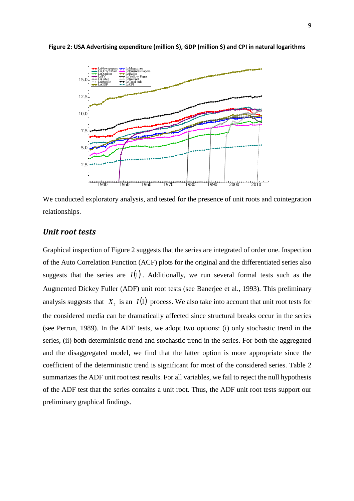

**Figure 2: USA Advertising expenditure (million \$), GDP (million \$) and CPI in natural logarithms** 

We conducted exploratory analysis, and tested for the presence of unit roots and cointegration relationships.

## *Unit root tests*

Graphical inspection of Figure 2 suggests that the series are integrated of order one. Inspection of the Auto Correlation Function (ACF) plots for the original and the differentiated series also suggests that the series are  $I(1)$ . Additionally, we run several formal tests such as the Augmented Dickey Fuller (ADF) unit root tests (see Banerjee et al., 1993). This preliminary analysis suggests that  $X_t$  is an  $I(1)$  process. We also take into account that unit root tests for the considered media can be dramatically affected since structural breaks occur in the series (see Perron, 1989). In the ADF tests, we adopt two options: (i) only stochastic trend in the series, (ii) both deterministic trend and stochastic trend in the series. For both the aggregated and the disaggregated model, we find that the latter option is more appropriate since the coefficient of the deterministic trend is significant for most of the considered series. Table 2 summarizes the ADF unit root test results. For all variables, we fail to reject the null hypothesis of the ADF test that the series contains a unit root. Thus, the ADF unit root tests support our preliminary graphical findings.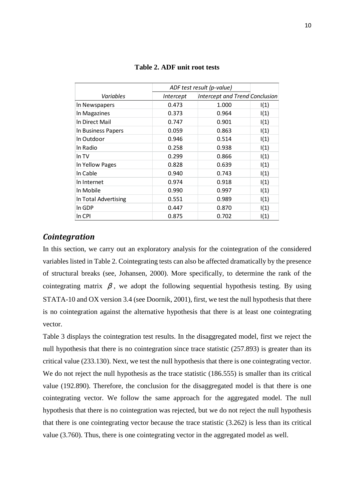|                      | ADF test result (p-value) |                                       |      |
|----------------------|---------------------------|---------------------------------------|------|
| Variables            | Intercept                 | <b>Intercept and Trend Conclusion</b> |      |
| In Newspapers        | 0.473                     | 1.000                                 | I(1) |
| In Magazines         | 0.373                     | 0.964                                 | 1(1) |
| In Direct Mail       | 0.747                     | 0.901                                 | 1(1) |
| In Business Papers   | 0.059                     | 0.863                                 | I(1) |
| In Outdoor           | 0.946                     | 0.514                                 | 1(1) |
| In Radio             | 0.258                     | 0.938                                 | I(1) |
| ln TV                | 0.299                     | 0.866                                 | 1(1) |
| In Yellow Pages      | 0.828                     | 0.639                                 | 1(1) |
| In Cable             | 0.940                     | 0.743                                 | I(1) |
| In Internet          | 0.974                     | 0.918                                 | 1(1) |
| In Mobile            | 0.990                     | 0.997                                 | I(1) |
| In Total Advertising | 0.551                     | 0.989                                 | I(1) |
| In GDP               | 0.447                     | 0.870                                 | 1(1) |
| In CPI               | 0.875                     | 0.702                                 | 1(1) |

#### **Table 2. ADF unit root tests**

#### *Cointegration*

In this section, we carry out an exploratory analysis for the cointegration of the considered variables listed in Table 2. Cointegrating tests can also be affected dramatically by the presence of structural breaks (see, Johansen, 2000). More specifically, to determine the rank of the cointegrating matrix  $\beta$ , we adopt the following sequential hypothesis testing. By using STATA-10 and OX version 3.4 (see Doornik, 2001), first, we test the null hypothesis that there is no cointegration against the alternative hypothesis that there is at least one cointegrating vector.

Table 3 displays the cointegration test results. In the disaggregated model, first we reject the null hypothesis that there is no cointegration since trace statistic (257.893) is greater than its critical value (233.130). Next, we test the null hypothesis that there is one cointegrating vector. We do not reject the null hypothesis as the trace statistic (186.555) is smaller than its critical value (192.890). Therefore, the conclusion for the disaggregated model is that there is one cointegrating vector. We follow the same approach for the aggregated model. The null hypothesis that there is no cointegration was rejected, but we do not reject the null hypothesis that there is one cointegrating vector because the trace statistic (3.262) is less than its critical value (3.760). Thus, there is one cointegrating vector in the aggregated model as well.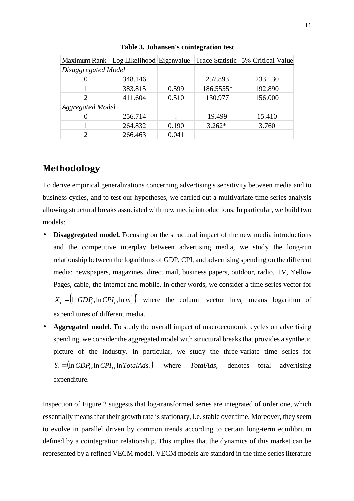|                         | Maximum Rank Log Likelihood Eigenvalue Trace Statistic 5% Critical Value |       |           |         |  |  |
|-------------------------|--------------------------------------------------------------------------|-------|-----------|---------|--|--|
| Disaggregated Model     |                                                                          |       |           |         |  |  |
|                         | 348.146                                                                  |       | 257.893   | 233.130 |  |  |
|                         | 383.815                                                                  | 0.599 | 186.5555* | 192.890 |  |  |
| 2                       | 411.604                                                                  | 0.510 | 130.977   | 156.000 |  |  |
| <b>Aggregated Model</b> |                                                                          |       |           |         |  |  |
|                         | 256.714                                                                  |       | 19.499    | 15.410  |  |  |
|                         | 264.832                                                                  | 0.190 | $3.262*$  | 3.760   |  |  |
| 2                       | 266.463                                                                  | 0.041 |           |         |  |  |

**Table 3. Johansen's cointegration test**

# **Methodology**

To derive empirical generalizations concerning advertising's sensitivity between media and to business cycles, and to test our hypotheses, we carried out a multivariate time series analysis allowing structural breaks associated with new media introductions. In particular, we build two models:

- **Disaggregated model.** Focusing on the structural impact of the new media introductions and the competitive interplay between advertising media, we study the long-run relationship between the logarithms of GDP, CPI, and advertising spending on the different media: newspapers, magazines, direct mail, business papers, outdoor, radio, TV, Yellow Pages, cable, the Internet and mobile. In other words, we consider a time series vector for  $X_t = (\ln GDP_t, \ln CPI_t, \ln m_t^{'} )$  where the column vector  $\ln m_t$  means logarithm of expenditures of different media.
- **Aggregated model**. To study the overall impact of macroeconomic cycles on advertising spending, we consider the aggregated model with structural breaks that provides a synthetic picture of the industry. In particular, we study the three-variate time series for  $Y_t = (\ln GDP_t, \ln CPI_t, \ln TotalAds_t)$  where  $TotalAds_t$  denotes total advertising expenditure.

Inspection of Figure 2 suggests that log-transformed series are integrated of order one, which essentially means that their growth rate is stationary, i.e. stable over time. Moreover, they seem to evolve in parallel driven by common trends according to certain long-term equilibrium defined by a cointegration relationship. This implies that the dynamics of this market can be represented by a refined VECM model. VECM models are standard in the time series literature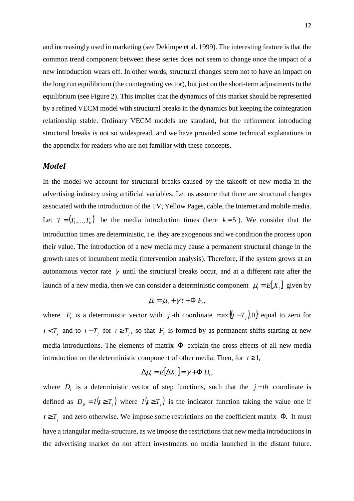and increasingly used in marketing (see Dekimpe et al. 1999). The interesting feature is that the common trend component between these series does not seem to change once the impact of a new introduction wears off. In other words, structural changes seem not to have an impact on the long run equilibrium (the cointegrating vector), but just on the short-term adjustments to the equilibrium (see Figure 2). This implies that the dynamics of this market should be represented by a refined VECM model with structural breaks in the dynamics but keeping the cointegration relationship stable. Ordinary VECM models are standard, but the refinement introducing structural breaks is not so widespread, and we have provided some technical explanations in the appendix for readers who are not familiar with these concepts.

#### *Model*

In the model we account for structural breaks caused by the takeoff of new media in the advertising industry using artificial variables. Let us assume that there are structural changes associated with the introduction of the TV, Yellow Pages, cable, the Internet and mobile media. Let  $T = (T_1, ..., T_k)$  be the media introduction times (here  $k = 5$ ). We consider that the introduction times are deterministic, i.e. they are exogenous and we condition the process upon their value. The introduction of a new media may cause a permanent structural change in the growth rates of incumbent media (intervention analysis). Therefore, if the system grows at an autonomous vector rate  $\gamma$  until the structural breaks occur, and at a different rate after the launch of a new media, then we can consider a deterministic component  $\mu_t = E[X_t]$  given by

$$
\mu_t = \mu_0 + \gamma t + \Phi F_t,
$$

where  $F_t$  is a deterministic vector with *j*-th coordinate max $\{(t-T_j),0\}$  equal to zero for  $t < T_j$  and to  $t - T_j$  for  $t \geq T_j$ , so that  $F_t$  is formed by as permanent shifts starting at new media introductions. The elements of matrix  $\Phi$  explain the cross-effects of all new media introduction on the deterministic component of other media. Then, for  $t \ge 1$ ,

$$
\Delta \mu_t = E[\Delta X_t] = \gamma + \Phi D_t,
$$

where  $D_t$  is a deterministic vector of step functions, such that the  $j-th$  coordinate is defined as  $D_{jt} = I(t \geq T_j)$  where  $I(t \geq T_j)$  is the indicator function taking the value one if  $t \geq T_j$  and zero otherwise. We impose some restrictions on the coefficient matrix  $\Phi$ . It must have a triangular media-structure, as we impose the restrictions that new media introductions in the advertising market do not affect investments on media launched in the distant future.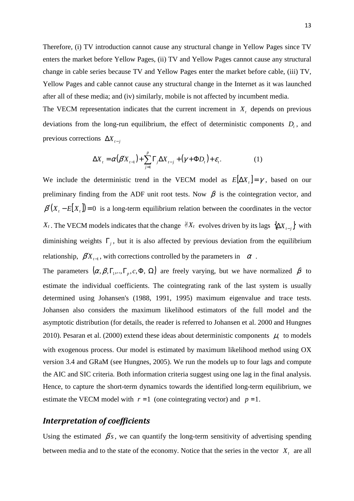Therefore, (i) TV introduction cannot cause any structural change in Yellow Pages since TV enters the market before Yellow Pages, (ii) TV and Yellow Pages cannot cause any structural change in cable series because TV and Yellow Pages enter the market before cable, (iii) TV, Yellow Pages and cable cannot cause any structural change in the Internet as it was launched after all of these media; and (iv) similarly, mobile is not affected by incumbent media.

The VECM representation indicates that the current increment in  $X<sub>t</sub>$  depends on previous deviations from the long-run equilibrium, the effect of deterministic components  $D<sub>t</sub>$ , and previous corrections  $\Delta X_{t-i}$ 

$$
\Delta X_t = \alpha(\beta'X_{t-1}) + \sum_{j=1}^p \Gamma_j \Delta X_{t-j} + (\gamma + \Phi D_t) + \varepsilon_t.
$$
 (1)

We include the deterministic trend in the VECM model as  $E[\Delta X_t] = \gamma$ , based on our preliminary finding from the ADF unit root tests. Now  $\beta$  is the cointegration vector, and  $\beta'(X_t - E[X_t]) = 0$  is a long-term equilibrium relation between the coordinates in the vector *X*<sup>*t*</sup>. The VECM models indicates that the change  $\mathscr{X}_t$  evolves driven by its lags  $\{ \Delta X_{t-1} \}$  with diminishing weights  $\Gamma_j$ , but it is also affected by previous deviation from the equilibrium relationship,  $\beta' X_{t-1}$ , with corrections controlled by the parameters in  $\alpha$ .

The parameters  $(\alpha, \beta, \Gamma_1, ..., \Gamma_p, c, \Phi, \Omega)$  are freely varying, but we have normalized  $\beta$  to estimate the individual coefficients. The cointegrating rank of the last system is usually determined using Johansen's (1988, 1991, 1995) maximum eigenvalue and trace tests. Johansen also considers the maximum likelihood estimators of the full model and the asymptotic distribution (for details, the reader is referred to Johansen et al. 2000 and Hungnes 2010). Pesaran et al. (2000) extend these ideas about deterministic components  $\mu_t$  to models with exogenous process. Our model is estimated by maximum likelihood method using OX version 3.4 and GRaM (see Hungnes, 2005). We run the models up to four lags and compute the AIC and SIC criteria. Both information criteria suggest using one lag in the final analysis. Hence, to capture the short-term dynamics towards the identified long-term equilibrium, we estimate the VECM model with  $r = 1$  (one cointegrating vector) and  $p = 1$ .

## *Interpretation of coefficients*

Using the estimated  $\beta'$ s, we can quantify the long-term sensitivity of advertising spending between media and to the state of the economy. Notice that the series in the vector  $X_t$  are all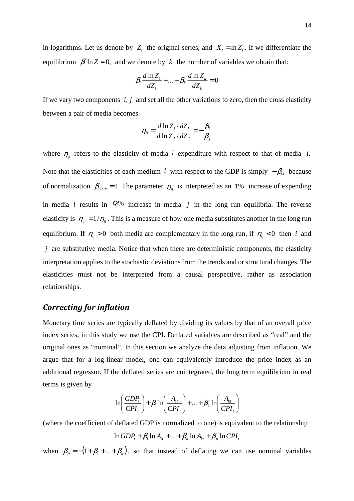in logarithms. Let us denote by  $Z_t$  the original series, and  $X_t = \ln Z_t$ . If we differentiate the equilibrium  $\beta' \ln Z = 0$ , and we denote by k the number of variables we obtain that:

$$
\beta_i \frac{d \ln Z_1}{dZ_1} + \dots + \beta_k \frac{d \ln Z_k}{dZ_k} = 0
$$

If we vary two components  $i, j$  and set all the other variations to zero, then the cross elasticity between a pair of media becomes

$$
\eta_{ij} = \frac{d \ln Z_i / dZ_i}{d \ln Z_j / dZ_j} = -\frac{\beta_i}{\beta_j}
$$

where  $\eta_{ii}$  refers to the elasticity of media *i* expenditure with respect to that of media *j*. Note that the elasticities of each medium *i* with respect to the GDP is simply  $-\beta$ <sub>*i*</sub>, because of normalization  $\beta_{GDP} = 1$ . The parameter  $\eta_{ij}$  is interpreted as an 1% increase of expending in media *i* results in  $\mathfrak{B}^{\otimes}$  increase in media *j* in the long run equilibria. The reverse elasticity is  $\eta_{ii} = 1/\eta_{ii}$ . This is a measure of how one media substitutes another in the long run equilibrium. If  $\eta_{ij} > 0$  both media are complementary in the long run, if  $\eta_{ij} < 0$  then *i* and *j* are substitutive media. Notice that when there are deterministic components, the elasticity interpretation applies to the stochastic deviations from the trends and or structural changes. The elasticities must not be interpreted from a causal perspective, rather as association relationships.

#### *Correcting for inflation*

Monetary time series are typically deflated by dividing its values by that of an overall price index series; in this study we use the CPI. Deflated variables are described as "real" and the original ones as "nominal". In this section we analyze the data adjusting from inflation. We argue that for a log-linear model, one can equivalently introduce the price index as an additional regressor. If the deflated series are cointegrated, the long term equilibrium in real terms is given by

$$
\ln\left(\frac{GDP_t}{CPI_t}\right) + \beta_1 \ln\left(\frac{A_{1t}}{CPI_t}\right) + ... + \beta_k \ln\left(\frac{A_{kt}}{CPI_t}\right)
$$

(where the coefficient of deflated GDP is normalized to one) is equivalent to the relationship

$$
\ln GDP_t + \beta_1 \ln A_{1t} + \ldots + \beta_k \ln A_{kt} + \beta_\pi \ln CPL_t
$$

when  $\beta_{\pi} = -(1 + \beta_1 + ... + \beta_k)$ , so that instead of deflating we can use nominal variables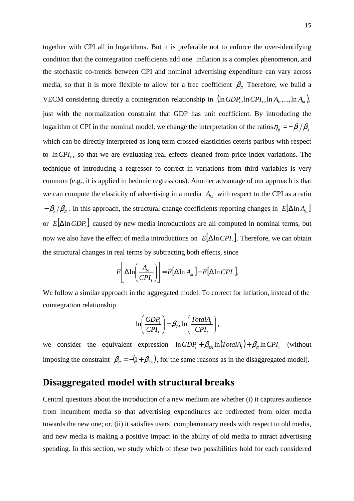together with CPI all in logarithms. But it is preferable not to enforce the over-identifying condition that the cointegration coefficients add one. Inflation is a complex phenomenon, and the stochastic co-trends between CPI and nominal advertising expenditure can vary across media, so that it is more flexible to allow for a free coefficient  $\beta_{\pi}$  Therefore, we build a VECM considering directly a cointegration relationship in  $(\ln GDP_t, \ln CPL_t, \ln A_t, ..., \ln A_t)$ , just with the normalization constraint that GDP has unit coefficient. By introducing the logarithm of CPI in the nominal model, we change the interpretation of the ratios  $\eta_{ij} = -\beta_i/\beta_j$ which can be directly interpreted as long term crossed-elasticities ceteris paribus with respect to  $ln CPI_t$ , so that we are evaluating real effects cleaned from price index variations. The technique of introducing a regressor to correct in variations from third variables is very common (e.g., it is applied in hedonic regressions). Another advantage of our approach is that we can compute the elasticity of advertising in a media  $A_{kt}$  with respect to the CPI as a ratio  $-\beta_k/\beta_{\pi}$ . In this approach, the structural change coefficients reporting changes in  $E[\Delta \ln A_{kt}]$ or  $E[\Delta \ln GDP_t]$  caused by new media introductions are all computed in nominal terms, but now we also have the effect of media introductions on  $E[\Delta \ln CPI_{\alpha}]$ . Therefore, we can obtain the structural changes in real terms by subtracting both effects, since

$$
E\left[\Delta \ln \left(\frac{A_{kt}}{CPI_t}\right)\right] = E\left[\Delta \ln A_{kt}\right] - E\left[\Delta \ln CPI_t\right],
$$

We follow a similar approach in the aggregated model. To correct for inflation, instead of the cointegration relationship

$$
\ln\left(\frac{GDP_t}{CPI_t}\right) + \beta_{TA} \ln\left(\frac{TotalA_t}{CPI_t}\right),\,
$$

we consider the equivalent expression  $\ln GDP_t + \beta_{TA} \ln(TotalA_t) + \beta_{A} \ln CPL_t$  (without imposing the constraint  $\beta_{\pi} = -(1 + \beta_{TA})$ , for the same reasons as in the disaggregated model).

# **Disaggregated model with structural breaks**

Central questions about the introduction of a new medium are whether (i) it captures audience from incumbent media so that advertising expenditures are redirected from older media towards the new one; or, (ii) it satisfies users' complementary needs with respect to old media, and new media is making a positive impact in the ability of old media to attract advertising spending. In this section, we study which of these two possibilities hold for each considered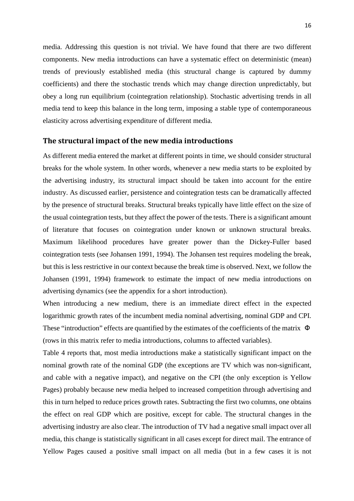media. Addressing this question is not trivial. We have found that there are two different components. New media introductions can have a systematic effect on deterministic (mean) trends of previously established media (this structural change is captured by dummy coefficients) and there the stochastic trends which may change direction unpredictably, but obey a long run equilibrium (cointegration relationship). Stochastic advertising trends in all media tend to keep this balance in the long term, imposing a stable type of contemporaneous elasticity across advertising expenditure of different media.

#### **The structural impact of the new media introductions**

As different media entered the market at different points in time, we should consider structural breaks for the whole system. In other words, whenever a new media starts to be exploited by the advertising industry, its structural impact should be taken into account for the entire industry. As discussed earlier, persistence and cointegration tests can be dramatically affected by the presence of structural breaks. Structural breaks typically have little effect on the size of the usual cointegration tests, but they affect the power of the tests. There is a significant amount of literature that focuses on cointegration under known or unknown structural breaks. Maximum likelihood procedures have greater power than the Dickey-Fuller based cointegration tests (see Johansen 1991, 1994). The Johansen test requires modeling the break, but this is less restrictive in our context because the break time is observed. Next, we follow the Johansen (1991, 1994) framework to estimate the impact of new media introductions on advertising dynamics (see the appendix for a short introduction).

When introducing a new medium, there is an immediate direct effect in the expected logarithmic growth rates of the incumbent media nominal advertising, nominal GDP and CPI. These "introduction" effects are quantified by the estimates of the coefficients of the matrix Φ (rows in this matrix refer to media introductions, columns to affected variables).

Table 4 reports that, most media introductions make a statistically significant impact on the nominal growth rate of the nominal GDP (the exceptions are TV which was non-significant, and cable with a negative impact), and negative on the CPI (the only exception is Yellow Pages) probably because new media helped to increased competition through advertising and this in turn helped to reduce prices growth rates. Subtracting the first two columns, one obtains the effect on real GDP which are positive, except for cable. The structural changes in the advertising industry are also clear. The introduction of TV had a negative small impact over all media, this change is statistically significant in all cases except for direct mail. The entrance of Yellow Pages caused a positive small impact on all media (but in a few cases it is not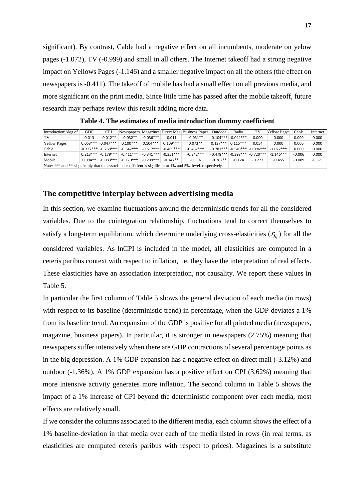significant). By contrast, Cable had a negative effect on all incumbents, moderate on yelow pages (-1.072), TV (-0.999) and small in all others. The Internet takeoff had a strong negative impact on Yellows Pages (-1.146) and a smaller negative impact on all the others (the effect on newspapers is -0.411). The takeoff of mobile has had a small effect on all previous media, and more significant on the print media. Since little time has passed after the mobile takeoff, future research may perhaps review this result adding more data.

| Introduction\ $\Delta$ log of                                                                                                                            | GDP         | CPI         |             |             |             | Newspapers Magazines Direct Mail Business Paper | <b>Outdoor</b> | Radio                   | TV          | <b>Yellow Pages</b> | Cable    | Internet |
|----------------------------------------------------------------------------------------------------------------------------------------------------------|-------------|-------------|-------------|-------------|-------------|-------------------------------------------------|----------------|-------------------------|-------------|---------------------|----------|----------|
| TV                                                                                                                                                       | 0.013       | $-0.012**$  | $-0.032**$  | $-0.036***$ | $-0.011$    | $-0.031**$                                      | $-0.104***$    | $-0.044***$             | 0.000       | 0.000               | 0.000    | 0.000    |
| <b>Yellow Pages</b>                                                                                                                                      | $0.053***$  | $0.047***$  | $0.100***$  | $0.104***$  | $0.109***$  | $0.073**$                                       | $0.137***$     | $0.115***$              | 0.054       | 0.000               | 0.000    | 0.000    |
| Cable                                                                                                                                                    | $-0.337***$ | $-0.269***$ | $-0.542***$ | $-0.517***$ | $-0.469***$ | $-0.467***$                                     |                | $-0.781***$ $-0.549***$ | $-0.996***$ | $-1.072***$         | 0.000    | 0.000    |
| Internet                                                                                                                                                 | $0.213***$  | $-0.179***$ | $-0.411***$ | $-0.341***$ | $-0.351***$ | $-0.342***$                                     |                | $-0.478***$ $-0.398***$ | $-0.720***$ | $-1.146***$         | $-0.006$ | 0.000    |
| $-0.170***$<br>$-0.209***$<br>Mobile<br>$-0.083***$<br>$0.094**$<br>$-0.147**$<br>$-0.282**$<br>$-0.089$<br>$-0.116$<br>$-0.124$<br>$-0.272$<br>$-0.455$ |             |             |             |             |             |                                                 |                |                         | $-0.371$    |                     |          |          |
| Note: *** and ** signs imply that the associated coefficient is significant at 1% and 5% level. respectively.                                            |             |             |             |             |             |                                                 |                |                         |             |                     |          |          |

**Table 4. The estimates of media introduction dummy coefficient**

#### **The competitive interplay between advertising media**

In this section, we examine fluctuations around the deterministic trends for all the considered variables. Due to the cointegration relationship, fluctuations tend to correct themselves to satisfy a long-term equilibrium, which determine underlying cross-elasticities ( $\eta_{ij}$ ) for all the considered variables. As lnCPI is included in the model, all elasticities are computed in a ceteris paribus context with respect to inflation, i.e. they have the interpretation of real effects. These elasticities have an association interpretation, not causality. We report these values in Table 5.

In particular the first column of Table 5 shows the general deviation of each media (in rows) with respect to its baseline (deterministic trend) in percentage, when the GDP deviates a 1% from its baseline trend. An expansion of the GDP is positive for all printed media (newspapers, magazine, business papers). In particular, it is stronger in newspapers (2.75%) meaning that newspapers suffer intensively when there are GDP contractions of several percentage points as in the big depression. A 1% GDP expansion has a negative effect on direct mail (-3.12%) and outdoor (-1.36%). A 1% GDP expansion has a positive effect on CPI (3.62%) meaning that more intensive activity generates more inflation. The second column in Table 5 shows the impact of a 1% increase of CPI beyond the deterministic component over each media, most effects are relatively small.

If we consider the columns associated to the different media, each column shows the effect of a 1% baseline-deviation in that media over each of the media listed in rows (in real terms, as elasticities are computed ceteris paribus with respect to prices). Magazines is a substitute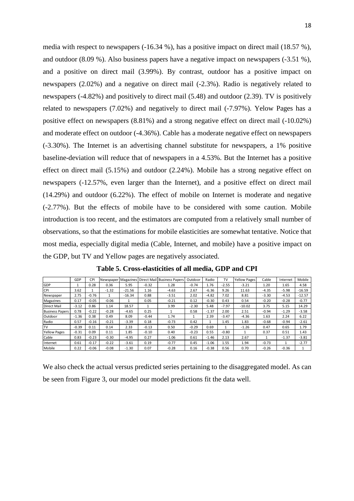media with respect to newspapers (-16.34 %), has a positive impact on direct mail (18.57 %), and outdoor (8.09 %). Also business papers have a negative impact on newspapers (-3.51 %), and a positive on direct mail (3.99%). By contrast, outdoor has a positive impact on newspapers (2.02%) and a negative on direct mail (-2.3%). Radio is negatively related to newspapers (-4.82%) and positively to direct mail (5.48) and outdoor (2.39). TV is positively related to newspapers (7.02%) and negatively to direct mail (-7.97%). Yelow Pages has a positive effect on newspapers (8.81%) and a strong negative effect on direct mail (-10.02%) and moderate effect on outdoor (-4.36%). Cable has a moderate negative effect on newspapers (-3.30%). The Internet is an advertising channel substitute for newspapers, a 1% positive baseline-deviation will reduce that of newspapers in a 4.53%. But the Internet has a positive effect on direct mail (5.15%) and outdoor (2.24%). Mobile has a strong negative effect on newspapers (-12.57%, even larger than the Internet), and a positive effect on direct mail (14.29%) and outdoor (6.22%). The effect of mobile on Internet is moderate and negative (-2.77%). But the effects of mobile have to be considered with some caution. Mobile introduction is too recent, and the estimators are computed from a relatively small number of observations, so that the estimations for mobile elasticities are somewhat tentative. Notice that most media, especially digital media (Cable, Internet, and mobile) have a positive impact on the GDP, but TV and Yellow pages are negatively associated.

|                        | GDP     | CPI     | <b>Newspaper</b> | Magazines |         | Direct Mail Business Papers | Outdoor | Radio   | TV      | <b>Yellow Pages</b> | Cable   | Internet     | Mobile       |
|------------------------|---------|---------|------------------|-----------|---------|-----------------------------|---------|---------|---------|---------------------|---------|--------------|--------------|
| GDP                    |         | 0.28    | 0.36             | 5.95      | $-0.32$ | 1.28                        | $-0.74$ | 1.76    | $-2.55$ | $-3.21$             | 1.20    | 1.65         | 4.58         |
| CPI                    | 3.62    |         | $-1.32$          | $-21.56$  | 1.16    | $-4.63$                     | 2.67    | $-6.36$ | 9.26    | 11.63               | $-4.35$ | $-5.98$      | $-16.59$     |
| Newspaper              | 2.75    | $-0.76$ |                  | $-16.34$  | 0.88    | $-3.51$                     | 2.02    | $-4.82$ | 7.02    | 8.81                | $-3.30$ | $-4.53$      | $-12.57$     |
| Magazines              | 0.17    | $-0.05$ | $-0.06$          |           | 0.05    | $-0.21$                     | 0.12    | $-0.30$ | 0.43    | 0.54                | $-0.20$ | $-0.28$      | $-0.77$      |
| Direct Mail            | $-3.12$ | 0.86    | 1.14             | 18.57     |         | 3.99                        | $-2.30$ | 5.48    | $-7.97$ | $-10.02$            | 3.75    | 5.15         | 14.29        |
| <b>Business Papers</b> | 0.78    | $-0.22$ | $-0.28$          | $-4.65$   | 0.25    |                             | 0.58    | $-1.37$ | 2.00    | 2.51                | $-0.94$ | $-1.29$      | $-3.58$      |
| Outdoor                | $-1.36$ | 0.38    | 0.49             | 8.09      | $-0.44$ | 1.74                        |         | 2.39    | $-3.47$ | $-4.36$             | 1.63    | 2.24         | 6.22         |
| Radio                  | 0.57    | $-0.16$ | $-0.21$          | $-3.39$   | 0.18    | $-0.73$                     | 0.42    | 1       | 1.45    | 1.83                | $-0.68$ | $-0.94$      | $-2.61$      |
| <b>TV</b>              | $-0.39$ | 0.11    | 0.14             | 2.33      | $-0.13$ | 0.50                        | $-0.29$ | 0.69    |         | $-1.26$             | 0.47    | 0.65         | 1.79         |
| <b>Yellow Pages</b>    | $-0.31$ | 0.09    | 0.11             | 1.85      | $-0.10$ | 0.40                        | $-0.23$ | 0.55    | $-0.80$ |                     | 0.37    | 0.51         | 1.43         |
| Cable                  | 0.83    | $-0.23$ | $-0.30$          | $-4.95$   | 0.27    | $-1.06$                     | 0.61    | $-1.46$ | 2.13    | 2.67                |         | $-1.37$      | $-3.81$      |
| Internet               | 0.61    | $-0.17$ | $-0.22$          | $-3.61$   | 0.19    | $-0.77$                     | 0.45    | $-1.06$ | 1.55    | 1.94                | $-0.73$ | $\mathbf{1}$ | $-2.77$      |
| Mobile                 | 0.22    | $-0.06$ | $-0.08$          | $-1.30$   | 0.07    | $-0.28$                     | 0.16    | $-0.38$ | 0.56    | 0.70                | $-0.26$ | $-0.36$      | $\mathbf{1}$ |

**Table 5. Cross-elasticities of all media, GDP and CPI** 

We also check the actual versus predicted series pertaining to the disaggregated model. As can be seen from Figure 3, our model our model predictions fit the data well.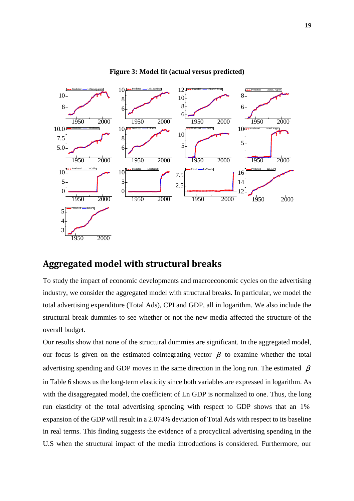

#### **Figure 3: Model fit (actual versus predicted)**

# **Aggregated model with structural breaks**

To study the impact of economic developments and macroeconomic cycles on the advertising industry, we consider the aggregated model with structural breaks. In particular, we model the total advertising expenditure (Total Ads), CPI and GDP, all in logarithm. We also include the structural break dummies to see whether or not the new media affected the structure of the overall budget.

Our results show that none of the structural dummies are significant. In the aggregated model, our focus is given on the estimated cointegrating vector  $\beta$  to examine whether the total advertising spending and GDP moves in the same direction in the long run. The estimated  $\beta$ in Table 6 shows us the long-term elasticity since both variables are expressed in logarithm. As with the disaggregated model, the coefficient of Ln GDP is normalized to one. Thus, the long run elasticity of the total advertising spending with respect to GDP shows that an  $1\%$ expansion of the GDP will result in a 2.074% deviation of Total Ads with respect to its baseline in real terms. This finding suggests the evidence of a procyclical advertising spending in the U.S when the structural impact of the media introductions is considered. Furthermore, our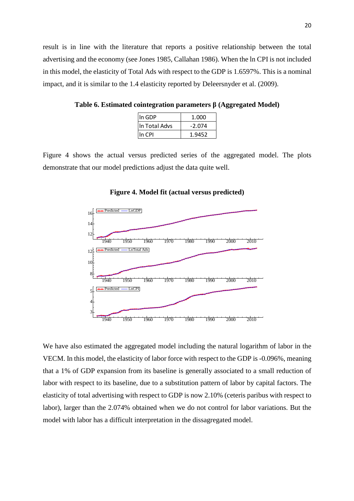result is in line with the literature that reports a positive relationship between the total advertising and the economy (see Jones 1985, Callahan 1986). When the ln CPI is not included in this model, the elasticity of Total Ads with respect to the GDP is 1.6597%. This is a nominal impact, and it is similar to the 1.4 elasticity reported by Deleersnyder et al. (2009).

**Table 6. Estimated cointegration parameters β (Aggregated Model)**

| lln GDP       | 1.000    |
|---------------|----------|
| In Total Advs | $-2.074$ |
| lln CPI       | 1.9452   |

Figure 4 shows the actual versus predicted series of the aggregated model. The plots demonstrate that our model predictions adjust the data quite well.



#### **Figure 4. Model fit (actual versus predicted)**

We have also estimated the aggregated model including the natural logarithm of labor in the VECM. In this model, the elasticity of labor force with respect to the GDP is -0.096%, meaning that a 1% of GDP expansion from its baseline is generally associated to a small reduction of labor with respect to its baseline, due to a substitution pattern of labor by capital factors. The elasticity of total advertising with respect to GDP is now 2.10% (ceteris paribus with respect to labor), larger than the 2.074% obtained when we do not control for labor variations. But the model with labor has a difficult interpretation in the dissagregated model.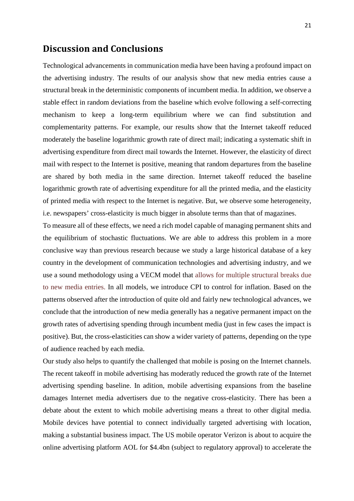# **Discussion and Conclusions**

Technological advancements in communication media have been having a profound impact on the advertising industry. The results of our analysis show that new media entries cause a structural break in the deterministic components of incumbent media. In addition, we observe a stable effect in random deviations from the baseline which evolve following a self-correcting mechanism to keep a long-term equilibrium where we can find substitution and complementarity patterns. For example, our results show that the Internet takeoff reduced moderately the baseline logarithmic growth rate of direct mail; indicating a systematic shift in advertising expenditure from direct mail towards the Internet. However, the elasticity of direct mail with respect to the Internet is positive, meaning that random departures from the baseline are shared by both media in the same direction. Internet takeoff reduced the baseline logarithmic growth rate of advertising expenditure for all the printed media, and the elasticity of printed media with respect to the Internet is negative. But, we observe some heterogeneity, i.e. newspapers' cross-elasticity is much bigger in absolute terms than that of magazines.

To measure all of these effects, we need a rich model capable of managing permanent shits and the equilibrium of stochastic fluctuations. We are able to address this problem in a more conclusive way than previous research because we study a large historical database of a key country in the development of communication technologies and advertising industry, and we use a sound methodology using a VECM model that allows for multiple structural breaks due to new media entries. In all models, we introduce CPI to control for inflation. Based on the patterns observed after the introduction of quite old and fairly new technological advances, we conclude that the introduction of new media generally has a negative permanent impact on the growth rates of advertising spending through incumbent media (just in few cases the impact is positive). But, the cross-elasticities can show a wider variety of patterns, depending on the type of audience reached by each media.

Our study also helps to quantify the challenged that mobile is posing on the Internet channels. The recent takeoff in mobile advertising has moderatly reduced the growth rate of the Internet advertising spending baseline. In adition, mobile advertising expansions from the baseline damages Internet media advertisers due to the negative cross-elasticity. There has been a debate about the extent to which mobile advertising means a threat to other digital media. Mobile devices have potential to connect individually targeted advertising with location, making a substantial business impact. The US mobile operator Verizon is about to acquire the online advertising platform AOL for \$4.4bn (subject to regulatory approval) to accelerate the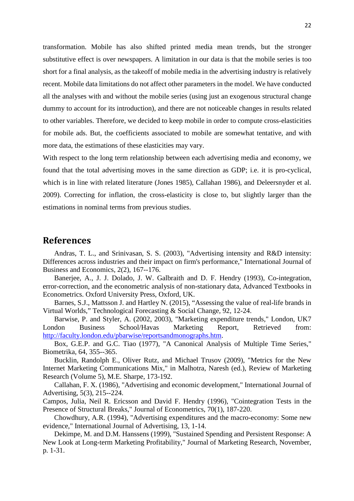transformation. Mobile has also shifted printed media mean trends, but the stronger substitutive effect is over newspapers. A limitation in our data is that the mobile series is too short for a final analysis, as the takeoff of mobile media in the advertising industry is relatively recent. Mobile data limitations do not affect other parameters in the model. We have conducted all the analyses with and without the mobile series (using just an exogenous structural change dummy to account for its introduction), and there are not noticeable changes in results related to other variables. Therefore, we decided to keep mobile in order to compute cross-elasticities for mobile ads. But, the coefficients associated to mobile are somewhat tentative, and with more data, the estimations of these elasticities may vary.

With respect to the long term relationship between each advertising media and economy, we found that the total advertising moves in the same direction as GDP; i.e. it is pro-cyclical, which is in line with related literature (Jones 1985), Callahan 1986), and Deleersnyder et al. 2009). Correcting for inflation, the cross-elasticity is close to, but slightly larger than the estimations in nominal terms from previous studies.

## **References**

 Andras, T. L., and Srinivasan, S. S. (2003), "Advertising intensity and R&D intensity: Differences across industries and their impact on firm's performance," International Journal of Business and Economics, 2(2), 167--176.

 Banerjee, A., J. J. Dolado, J. W. Galbraith and D. F. Hendry (1993), Co-integration, error-correction, and the econometric analysis of non-stationary data, Advanced Textbooks in Econometrics. Oxford University Press, Oxford, UK.

 Barnes, S.J., Mattsson J. and Hartley N. (2015), "Assessing the value of real-life brands in Virtual Worlds," Technological Forecasting & Social Change, 92, 12-24.

 Barwise, P. and Styler, A. (2002, 2003), "Marketing expenditure trends," London, UK7 London Business School/Havas Marketing Report, Retrieved from: http://faculty.london.edu/pbarwise/reportsandmonographs.htm.

 Box, G.E.P. and G.C. Tiao (1977), "A Canonical Analysis of Multiple Time Series," Biometrika, 64, 355--365.

 Bucklin, Randolph E., Oliver Rutz, and Michael Trusov (2009), "Metrics for the New Internet Marketing Communications Mix," in Malhotra, Naresh (ed.), Review of Marketing Research (Volume 5), M.E. Sharpe, 173-192.

 Callahan, F. X. (1986), "Advertising and economic development," International Journal of Advertising, 5(3), 215--224.

Campos, Julia, Neil R. Ericsson and David F. Hendry (1996), "Cointegration Tests in the Presence of Structural Breaks," Journal of Econometrics, 70(1), 187-220.

 Chowdhury, A.R. (1994), "Advertising expenditures and the macro-economy: Some new evidence," International Journal of Advertising, 13, 1-14.

 Dekimpe, M. and D.M. Hanssens (1999), "Sustained Spending and Persistent Response: A New Look at Long-term Marketing Profitability," Journal of Marketing Research, November, p. 1-31.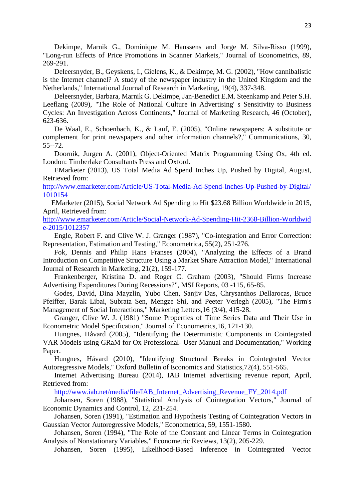Dekimpe, Marnik G., Dominique M. Hanssens and Jorge M. Silva-Risso (1999), "Long-run Effects of Price Promotions in Scanner Markets," Journal of Econometrics, 89, 269-291.

 Deleersnyder, B., Geyskens, I., Gielens, K., & Dekimpe, M. G. (2002), "How cannibalistic is the Internet channel? A study of the newspaper industry in the United Kingdom and the Netherlands," International Journal of Research in Marketing, 19(4), 337-348.

 Deleersnyder, Barbara, Marnik G. Dekimpe, Jan-Benedict E.M. Steenkamp and Peter S.H. Leeflang (2009), "The Role of National Culture in Advertising' s Sensitivity to Business Cycles: An Investigation Across Continents," Journal of Marketing Research, 46 (October), 623-636.

 De Waal, E., Schoenbach, K., & Lauf, E. (2005), "Online newspapers: A substitute or complement for print newspapers and other information channels?," Communications, 30, 55--72.

 Doornik, Jurgen A. (2001), Object-Oriented Matrix Programming Using Ox, 4th ed. London: Timberlake Consultants Press and Oxford.

 EMarketer (2013), US Total Media Ad Spend Inches Up, Pushed by Digital, August, Retrieved from:

http://www.emarketer.com/Article/US-Total-Media-Ad-Spend-Inches-Up-Pushed-by-Digital/ 1010154

 EMarketer (2015), Social Network Ad Spending to Hit \$23.68 Billion Worldwide in 2015, April, Retrieved from:

http://www.emarketer.com/Article/Social-Network-Ad-Spending-Hit-2368-Billion-Worldwid e-2015/1012357

 Engle, Robert F. and Clive W. J. Granger (1987), "Co-integration and Error Correction: Representation, Estimation and Testing," Econometrica, 55(2), 251-276.

 Fok, Dennis and Philip Hans Franses (2004), "Analyzing the Effects of a Brand Introduction on Competitive Structure Using a Market Share Attraction Model," International Journal of Research in Marketing, 21(2), 159-177.

 Frankenberger, Kristina D. and Roger C. Graham (2003), "Should Firms Increase Advertising Expenditures During Recessions?", MSI Reports, 03 -115, 65-85.

 Godes, David, Dina Mayzlin, Yubo Chen, Sanjiv Das, Chrysanthos Dellarocas, Bruce Pfeiffer, Barak Libai, Subrata Sen, Mengze Shi, and Peeter Verlegh (2005), "The Firm's Management of Social Interactions," Marketing Letters,16 (3/4), 415-28.

 Granger, Clive W. J. (1981) "Some Properties of Time Series Data and Their Use in Econometric Model Specification," Journal of Econometrics,16, 121-130.

 Hungnes, Håvard (2005), "Identifying the Deterministic Components in Cointegrated VAR Models using GRaM for Ox Professional- User Manual and Documentation," Working Paper.

 Hungnes, Håvard (2010), "Identifying Structural Breaks in Cointegrated Vector Autoregressive Models," Oxford Bulletin of Economics and Statistics,72(4), 551-565.

 Internet Advertising Bureau (2014), IAB Internet advertising revenue report, April, Retrieved from:

http://www.iab.net/media/file/IAB\_Internet\_Advertising\_Revenue\_FY\_2014.pdf

 Johansen, Soren (1988), "Statistical Analysis of Cointegration Vectors," Journal of Economic Dynamics and Control, 12, 231-254.

 Johansen, Soren (1991), "Estimation and Hypothesis Testing of Cointegration Vectors in Gaussian Vector Autoregressive Models," Econometrica, 59, 1551-1580.

 Johansen, Soren (1994), "The Role of the Constant and Linear Terms in Cointegration Analysis of Nonstationary Variables," Econometric Reviews, 13(2), 205-229.

Johansen, Soren (1995), Likelihood-Based Inference in Cointegrated Vector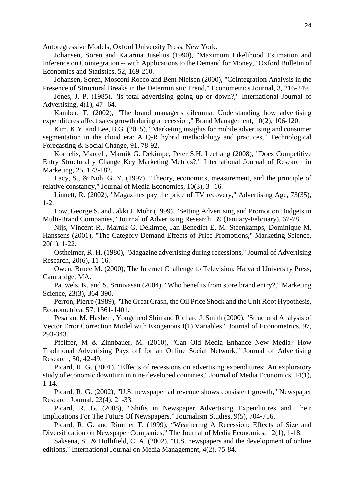Autoregressive Models, Oxford University Press, New York.

 Johansen, Soren and Katarina Juselius (1990), "Maximum Likelihood Estimation and Inference on Cointegration -- with Applications to the Demand for Money," Oxford Bulletin of Economics and Statistics, 52, 169-210.

 Johansen, Soren, Mosconi Rocco and Bent Nielsen (2000), "Cointegration Analysis in the Presence of Structural Breaks in the Deterministic Trend," Econometrics Journal, 3, 216-249.

 Jones, J. P. (1985), "Is total advertising going up or down?," International Journal of Advertising, 4(1), 47--64.

 Kamber, T. (2002), "The brand manager's dilemma: Understanding how advertising expenditures affect sales growth during a recession," Brand Management, 10(2), 106-120.

 Kim, K.Y. and Lee, B.G. (2015), "Marketing insights for mobile advertising and consumer segmentation in the cloud era: A Q-R hybrid methodology and practices," Technological Forecasting & Social Change, 91, 78-92.

 Kornelis, Marcel , Marnik G. Dekimpe, Peter S.H. Leeflang (2008), "Does Competitive Entry Structurally Change Key Marketing Metrics?," International Journal of Research in Marketing, 25, 173-182.

 Lacy, S., & Noh, G. Y. (1997), "Theory, economics, measurement, and the principle of relative constancy," Journal of Media Economics, 10(3), 3--16.

 Linnett, R. (2002), "Magazines pay the price of TV recovery," Advertising Age, 73(35), 1-2.

 Low, George S. and Jakki J. Mohr (1999), "Setting Advertising and Promotion Budgets in Multi-Brand Companies," Journal of Advertising Research, 39 (January-February), 67-78.

 Nijs, Vincent R., Marnik G. Dekimpe, Jan-Benedict E. M. Steenkamps, Dominique M. Hanssens (2001), "The Category Demand Effects of Price Promotions," Marketing Science, 20(1), 1-22.

 Ostheimer, R. H. (1980), "Magazine advertising during recessions," Journal of Advertising Research, 20(6), 11-16.

 Owen, Bruce M. (2000), The Internet Challenge to Television, Harvard University Press, Cambridge, MA.

 Pauwels, K. and S. Srinivasan (2004), "Who benefits from store brand entry?," Marketing Science, 23(3), 364-390.

 Perron, Pierre (1989), "The Great Crash, the Oil Price Shock and the Unit Root Hypothesis, Econometrica, 57, 1361-1401.

 Pesaran, M. Hashem, Yongcheol Shin and Richard J. Smith (2000), "Structural Analysis of Vector Error Correction Model with Exogenous I(1) Variables," Journal of Econometrics, 97, 293-343.

 Pfeiffer, M & Zinnbauer, M. (2010), "Can Old Media Enhance New Media? How Traditional Advertising Pays off for an Online Social Network," Journal of Advertising Research, 50, 42-49.

 Picard, R. G. (2001), "Effects of recessions on advertising expenditures: An exploratory study of economic downturn in nine developed countries," Journal of Media Economics, 14(1), 1-14.

 Picard, R. G. (2002), "U.S. newspaper ad revenue shows consistent growth," Newspaper Research Journal, 23(4), 21-33.

 Picard, R. G. (2008), "Shifts in Newspaper Advertising Expenditures and Their Implications For The Future Of Newspapers," Journalism Studies, 9(5), 704-716.

 Picard, R. G. and Rimmer T. (1999), "Weathering A Recession: Effects of Size and Diversification on Newspaper Companies," The Journal of Media Economics, 12(1), 1-18.

 Saksena, S., & Hollifield, C. A. (2002), "U.S. newspapers and the development of online editions," International Journal on Media Management, 4(2), 75-84.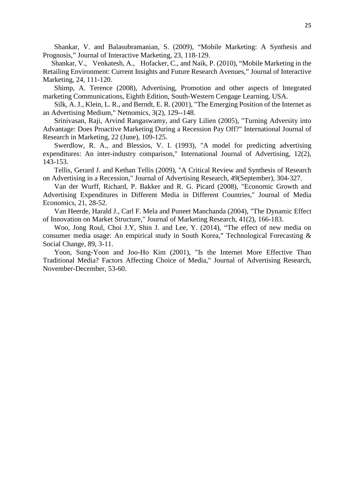Shankar, V. and Balasubramanian, S. (2009), "Mobile Marketing: A Synthesis and Prognosis," Journal of Interactive Marketing, 23, 118-129.

 Shankar, V., Venkatesh, A., Hofacker, C., and Naik, P. (2010), "Mobile Marketing in the Retailing Environment: Current Insights and Future Research Avenues," Journal of Interactive Marketing, 24, 111-120.

 Shimp, A. Terence (2008), Advertising, Promotion and other aspects of Integrated marketing Communications, Eighth Edition, South-Western Cengage Learning, USA.

 Silk, A. J., Klein, L. R., and Berndt, E. R. (2001), "The Emerging Position of the Internet as an Advertising Medium," Netnomics, 3(2), 129--148.

 Srinivasan, Raji, Arvind Rangaswamy, and Gary Lilien (2005), "Turning Adversity into Advantage: Does Proactive Marketing During a Recession Pay Off?" International Journal of Research in Marketing, 22 (June), 109-125.

 Swerdlow, R. A., and Blessios, V. I. (1993), "A model for predicting advertising expenditures: An inter-industry comparison," International Journal of Advertising, 12(2), 143-153.

 Tellis, Gerard J. and Kethan Tellis (2009), "A Critical Review and Synthesis of Research on Advertising in a Recession," Journal of Advertising Research, 49(September), 304-327.

 Van der Wurff, Richard, P. Bakker and R. G. Picard (2008), "Economic Growth and Advertising Expenditures in Different Media in Different Countries," Journal of Media Economics, 21, 28-52.

 Van Heerde, Harald J., Carl F. Mela and Puneet Manchanda (2004), "The Dynamic Effect of Innovation on Market Structure," Journal of Marketing Research, 41(2), 166-183.

 Woo, Jong Roul, Choi J.Y, Shin J. and Lee, Y. (2014), "The effect of new media on consumer media usage: An empirical study in South Korea," Technological Forecasting & Social Change, 89, 3-11.

 Yoon, Sung-Yoon and Joo-Ho Kim (2001), "Is the Internet More Effective Than Traditional Media? Factors Affecting Choice of Media," Journal of Advertising Research, November-December, 53-60.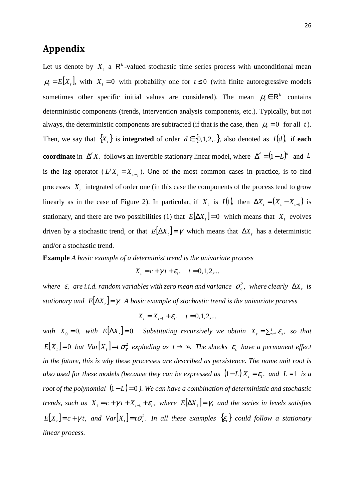# **Appendix**

Let us denote by  $X_t$  a  $\mathbb{R}^k$ -valued stochastic time series process with unconditional mean  $\mu_t = E[X_t]$ , with  $X_t = 0$  with probability one for  $t \le 0$  (with finite autoregressive models sometimes other specific initial values are considered). The mean  $\mu \in \mathbb{R}^k$  contains deterministic components (trends, intervention analysis components, etc.). Typically, but not always, the deterministic components are subtracted (if that is the case, then  $\mu_t = 0$  for all *t*). Then, we say that  $\{X_t\}$  is **integrated** of order  $d \in \{0,1,2,...\}$ , also denoted as  $I(d)$ , if **each coordinate** in  $\Delta^d X_t$  follows an invertible stationary linear model, where  $\Delta^d = (1 - L)^d$  and L is the lag operator ( $L^j X_i = X_{i-j}$ ). One of the most common cases in practice, is to find processes *X<sup>t</sup>* integrated of order one (in this case the components of the process tend to grow linearly as in the case of Figure 2). In particular, if  $X_t$  is  $I(1)$ , then  $\Delta X_t = (X_t - X_{t-1})$  is stationary, and there are two possibilities (1) that  $E[\Delta X_t] = 0$  which means that  $X_t$  evolves driven by a stochastic trend, or that  $E[\Delta X_t] = \gamma$  which means that  $\Delta X_t$  has a deterministic and/or a stochastic trend.

**Example** *A basic example of a determinist trend is the univariate process* 

$$
X_t = c + \gamma t + \varepsilon_t, \quad t = 0, 1, 2, \dots
$$

where  $\varepsilon$ <sub>t</sub> are i.i.d. random variables with zero mean and variance  $\sigma_{\varepsilon}^2$ , where clearly  $\Delta X$ <sub>t</sub> is *stationary and*  $E[\Delta X_t] = \gamma$ . A basic example of stochastic trend is the univariate process

$$
X_t = X_{t-1} + \varepsilon_t, \quad t = 0, 1, 2, \dots
$$

*with*  $X_0 = 0$ , *with*  $E[\Delta X_t] = 0$ . *Substituting recursively we obtain*  $X_t = \sum_{s=1}^t \mathcal{E}_s$ , so that  $E[X_t] = 0$  but  $Var[X_t] = t \sigma_{\varepsilon}^2$  exploding as  $t \to \infty$ . The shocks  $\varepsilon_s$  have a permanent effect *in the future, this is why these processes are described as persistence. The name unit root is also used for these models (because they can be expressed as*  $(1 - L)X<sub>t</sub> = \varepsilon<sub>t</sub>$ , and  $L = 1$  is a *root of the polynomial* (1− *L*) = 0 *). We can have a combination of deterministic and stochastic trends, such as*  $X_t = c + \gamma t + X_{t-1} + \varepsilon_t$ , where  $E[\Delta X_t] = \gamma$ , and the series in levels satisfies  $E[X_t] = c + \gamma t$ , and  $Var[X_t] = t\sigma_{\varepsilon}^2$ . In all these examples  $\{\varepsilon_t\}$  could follow a stationary *linear process.*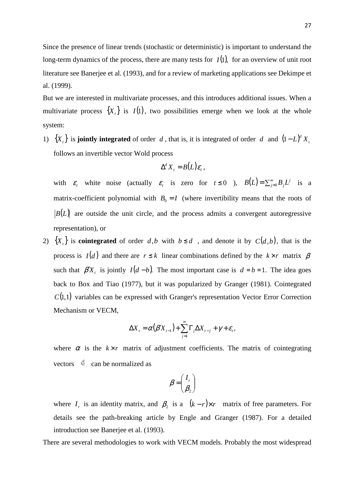Since the presence of linear trends (stochastic or deterministic) is important to understand the long-term dynamics of the process, there are many tests for  $I(1)$ , for an overview of unit root literature see Banerjee et al. (1993), and for a review of marketing applications see Dekimpe et al. (1999).

But we are interested in multivariate processes, and this introduces additional issues. When a multivariate process  $\{X_t\}$  is  $I(1)$ , two possibilities emerge when we look at the whole system:

1)  $\{X_t\}$  is **jointly integrated** of order *d*, that is, it is integrated of order *d* and  $(1-L)^d X_t$ follows an invertible vector Wold process

$$
\Delta^d X_t = B(L)\varepsilon_t,
$$

with  $\varepsilon$ <sub>*t*</sub> white noise (actually  $\varepsilon$ <sub>*t*</sub> is zero for  $t \le 0$ ),  $B(L) = \sum_{j=0}^{\infty} B_j L^j$  is a matrix-coefficient polynomial with  $B_0 = I$  (where invertibility means that the roots of  $B(L)$  are outside the unit circle, and the process admits a convergent autoregressive representation), or

2)  $\{X_t\}$  is **cointegrated** of order *d*,*b* with  $b \le d$ , and denote it by  $C(d,b)$ , that is the process is  $I(d)$  and there are  $r \leq k$  linear combinations defined by the  $k \times r$  matrix  $\beta$ such that  $\beta' X_t$  is jointly  $I(d - b)$ . The most important case is  $d = b = 1$ . The idea goes back to Box and Tiao (1977), but it was popularized by Granger (1981). Cointegrated  $C(1,1)$  variables can be expressed with Granger's representation Vector Error Correction Mechanism or VECM,

$$
\Delta X_t = \alpha(\beta'X_{t-1}) + \sum_{j=1}^{\infty} \Gamma_j \Delta X_{t-j} + \gamma + \varepsilon_t,
$$

where  $\alpha$  is the  $k \times r$  matrix of adjustment coefficients. The matrix of cointegrating vectors  $\epsilon$  can be normalized as

$$
\beta = \begin{pmatrix} I_r \\ \beta_2 \end{pmatrix}
$$

where  $I_r$  is an identity matrix, and  $\beta_2$  is a  $(k-r) \times r$  matrix of free parameters. For details see the path-breaking article by Engle and Granger (1987). For a detailed introduction see Banerjee et al. (1993).

There are several methodologies to work with VECM models. Probably the most widespread